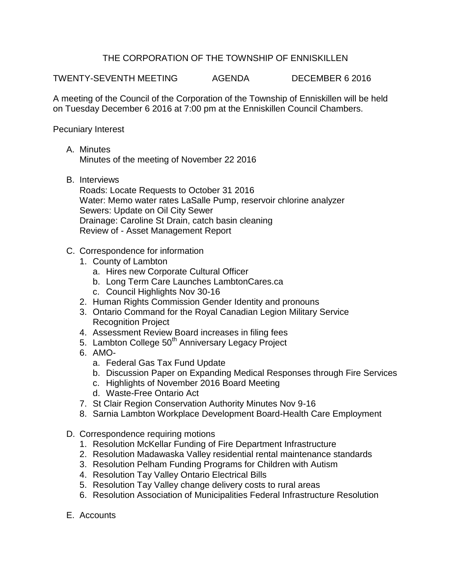## THE CORPORATION OF THE TOWNSHIP OF ENNISKILLEN

TWENTY-SEVENTH MEETING AGENDA DECEMBER 6 2016

A meeting of the Council of the Corporation of the Township of Enniskillen will be held on Tuesday December 6 2016 at 7:00 pm at the Enniskillen Council Chambers.

Pecuniary Interest

- A. Minutes Minutes of the meeting of November 22 2016
- B. Interviews

Roads: Locate Requests to October 31 2016 Water: Memo water rates LaSalle Pump, reservoir chlorine analyzer Sewers: Update on Oil City Sewer Drainage: Caroline St Drain, catch basin cleaning Review of - Asset Management Report

- C. Correspondence for information
	- 1. County of Lambton
		- a. Hires new Corporate Cultural Officer
		- b. Long Term Care Launches LambtonCares.ca
		- c. Council Highlights Nov 30-16
	- 2. Human Rights Commission Gender Identity and pronouns
	- 3. Ontario Command for the Royal Canadian Legion Military Service Recognition Project
	- 4. Assessment Review Board increases in filing fees
	- 5. Lambton College 50<sup>th</sup> Anniversary Legacy Project
	- 6. AMO
		- a. Federal Gas Tax Fund Update
		- b. Discussion Paper on Expanding Medical Responses through Fire Services
		- c. Highlights of November 2016 Board Meeting
		- d. Waste-Free Ontario Act
	- 7. St Clair Region Conservation Authority Minutes Nov 9-16
	- 8. Sarnia Lambton Workplace Development Board-Health Care Employment
- D. Correspondence requiring motions
	- 1. Resolution McKellar Funding of Fire Department Infrastructure
	- 2. Resolution Madawaska Valley residential rental maintenance standards
	- 3. Resolution Pelham Funding Programs for Children with Autism
	- 4. Resolution Tay Valley Ontario Electrical Bills
	- 5. Resolution Tay Valley change delivery costs to rural areas
	- 6. Resolution Association of Municipalities Federal Infrastructure Resolution
- E. Accounts